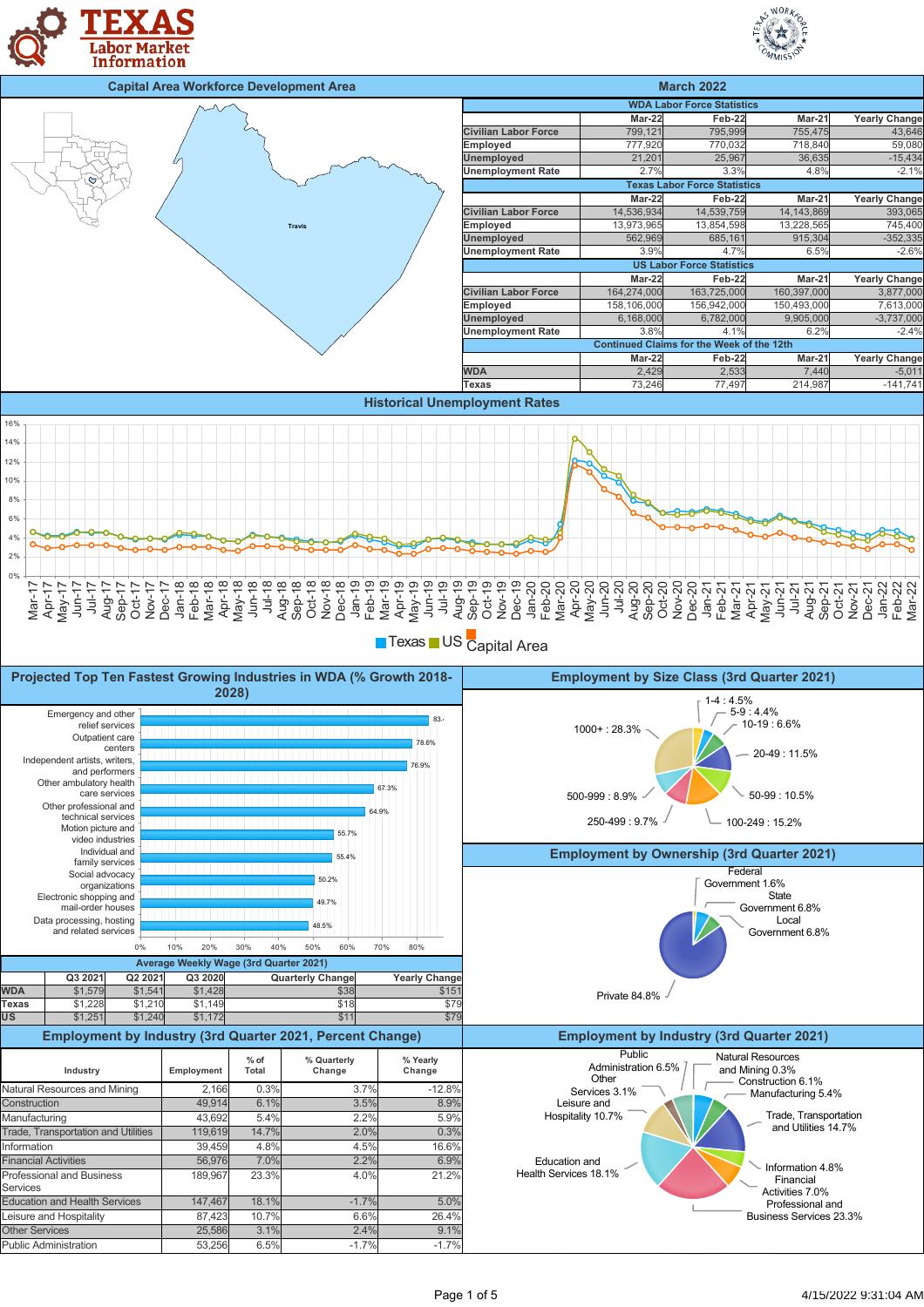





■Texas ■ US Capital Area

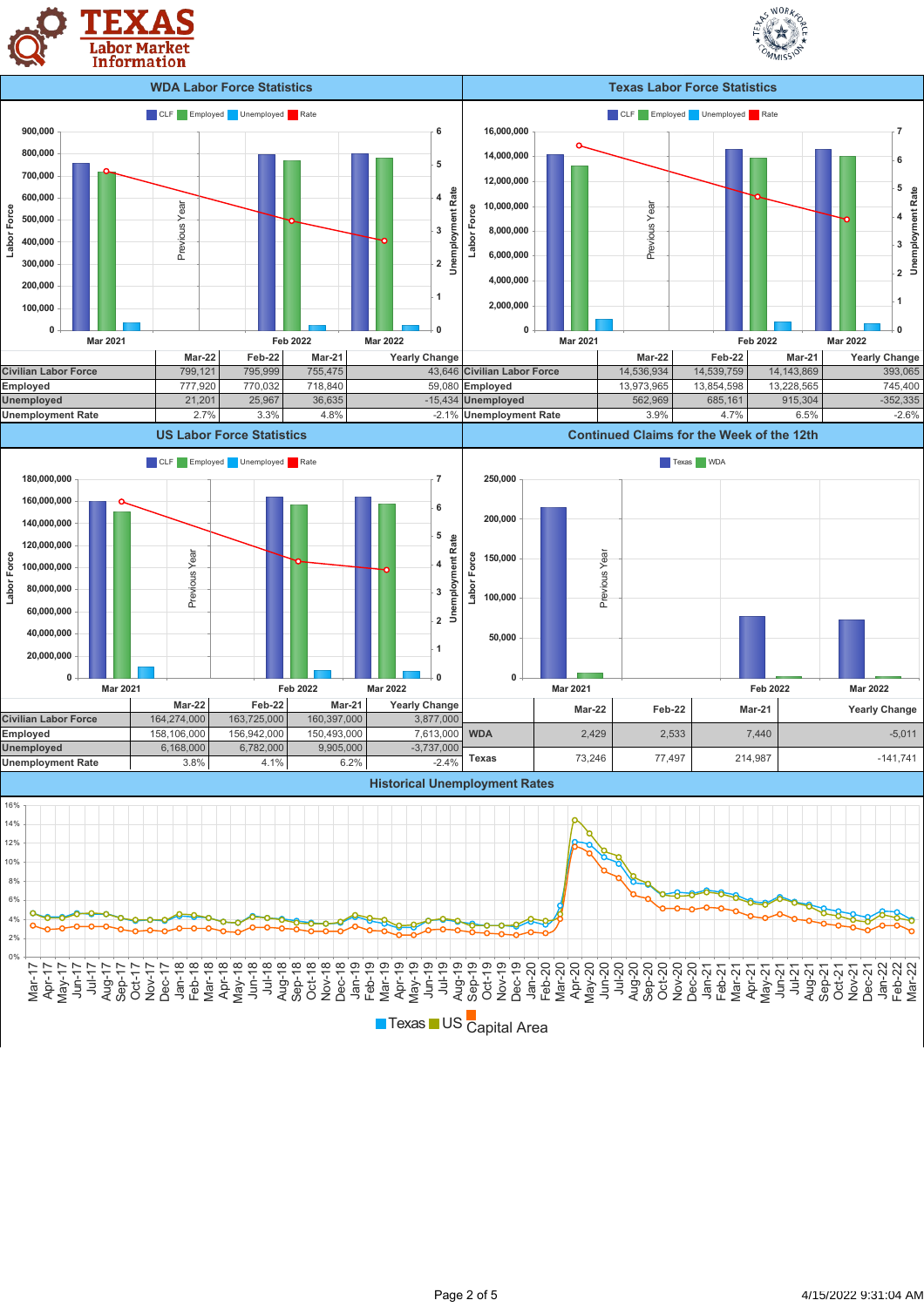



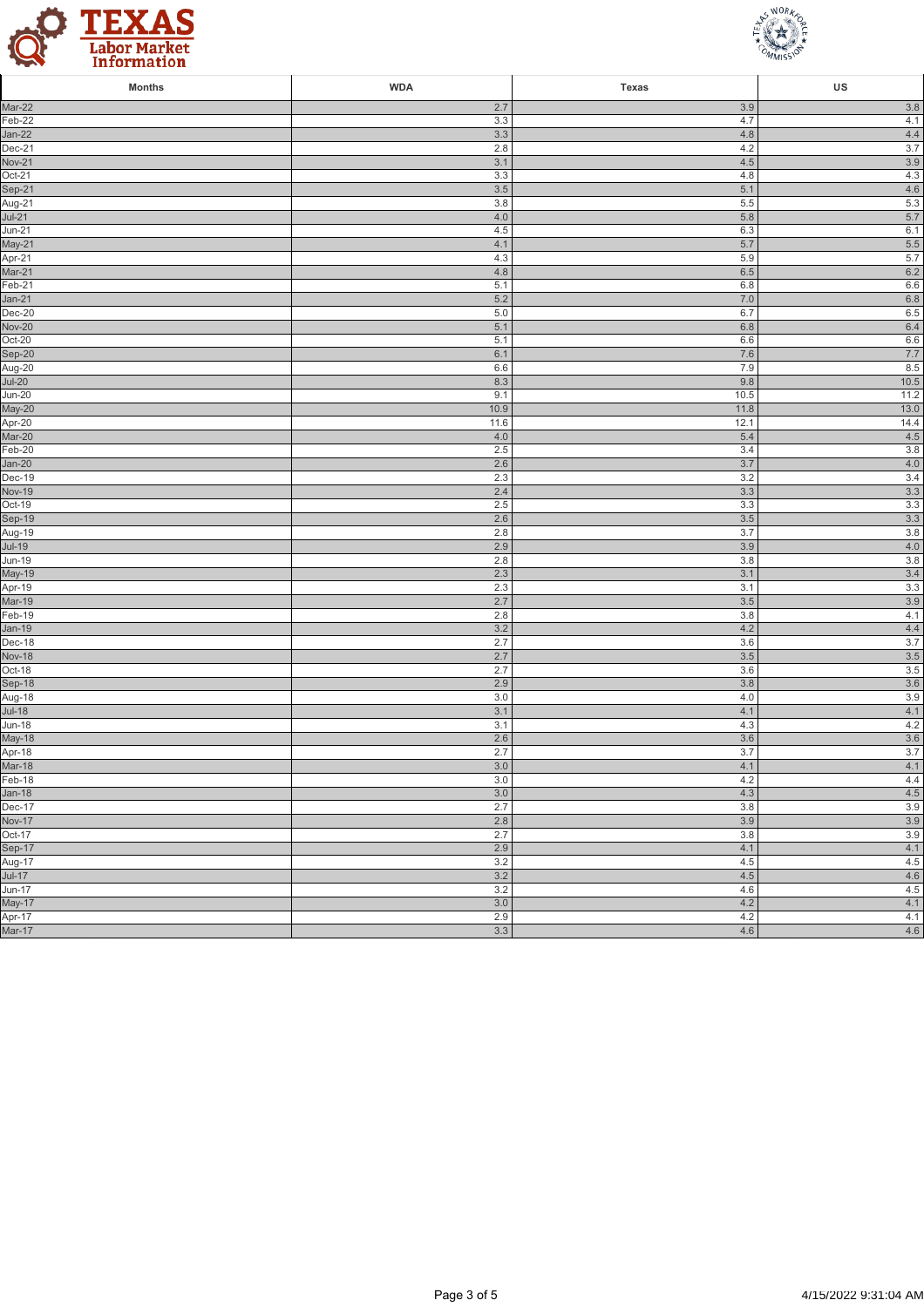



| <b>Months</b>           | <b>WDA</b> | Texas      | US             |
|-------------------------|------------|------------|----------------|
| Mar-22                  | 2.7        | 3.9        | 3.8            |
| Feb-22                  | 3.3        | 4.7        | 4.1            |
| $Jan-22$                | 3.3        | 4.8        | $4.4\,$        |
| Dec-21                  | 2.8        | 4.2        | 3.7            |
| <b>Nov-21</b>           | 3.1        | 4.5        | $3.9$          |
| Oct-21                  | 3.3        | 4.8        | 4.3            |
| Sep-21                  | 3.5        | 5.1        | $4.6\,$        |
| Aug-21                  | 3.8        | 5.5        | $5.3\,$        |
| $Jul-21$                | 4.0        | 5.8        | 5.7            |
| <b>Jun-21</b>           | 4.5        | 6.3        | 6.1            |
| May-21                  | 4.1        | 5.7<br>5.9 | $5.5\,$        |
| Apr-21<br>Mar-21        | 4.3<br>4.8 | 6.5        | $5.7\,$<br>6.2 |
| Feb-21                  | 5.1        | 6.8        | $6.6\,$        |
| $Jan-21$                | 5.2        | 7.0        | $6.8\,$        |
| $Dec-20$                | 5.0        | 6.7        | $6.5\,$        |
| <b>Nov-20</b>           | 5.1        | 6.8        | 6.4            |
| Oct-20                  | 5.1        | 6.6        | 6.6            |
| Sep-20                  | 6.1        | 7.6        | $7.7\,$        |
| Aug-20                  | 6.6        | 7.9        | 8.5            |
| $Jul-20$                | 8.3        | 9.8        | $10.5$         |
| $Jun-20$                | 9.1        | 10.5       | 11.2           |
| May-20                  | 10.9       | 11.8       | $13.0$         |
| Apr-20                  | 11.6       | 12.1       | 14.4           |
| Mar-20                  | 4.0        | 5.4        | 4.5            |
| Feb-20                  | 2.5        | 3.4        | 3.8            |
| $Jan-20$                | 2.6        | 3.7        | $4.0\,$        |
| $Dec-19$                | 2.3        | 3.2        | 3.4            |
| <b>Nov-19</b>           | 2.4        | 3.3        | 3.3            |
| Oct-19                  | 2.5        | 3.3        | 3.3            |
| Sep-19                  | 2.6        | 3.5        | $3.3\,$        |
| $Aug-19$                | 2.8        | 3.7        | $3.8\,$        |
| $Jul-19$                | 2.9        | 3.9        | $4.0\,$        |
| Jun-19<br>May-19        | 2.8<br>2.3 | 3.8<br>3.1 | 3.8<br>$3.4$   |
| Apr-19                  | 2.3        | 3.1        | $3.3\,$        |
| Mar-19                  | 2.7        | $3.5$      | $3.9\,$        |
| Feb-19                  | 2.8        | 3.8        | 4.1            |
| $Jan-19$                | 3.2        | 4.2        | $4.4\,$        |
| Dec-18                  | 2.7        | 3.6        | 3.7            |
| <b>Nov-18</b>           | 2.7        | $3.5$      | $3.5\,$        |
| Oct-18                  | 2.7        | $3.6\,$    | $3.5\,$        |
| Sep-18                  | 2.9        | 3.8        | $3.6\,$        |
| Aug-18                  | 3.0        | 4.0        | $3.9\,$        |
| $Jul-18$                | 3.1        | 4.1        | 4.1            |
| <b>Jun-18</b>           | 3.1        | 4.3        | 4.2            |
| May-18                  | 2.6        | 3.6        | $3.6\,$        |
| $Apr-18$                | 2.7        | 3.7        | 3.7            |
| Mar-18                  | $3.0\,$    | 4.1        | 4.1            |
| Feb-18                  | 3.0        | 4.2        | 4.4            |
| $Jan-18$                | $3.0\,$    | 4.3        | 4.5            |
| Dec-17                  | 2.7        | 3.8        | 3.9            |
| <b>Nov-17</b><br>Oct-17 | 2.8<br>2.7 | 3.9<br>3.8 | $3.9$<br>$3.9$ |
|                         | 2.9        | 4.1        | 4.1            |
| Sep-17<br>Aug-17        | 3.2        | 4.5        | 4.5            |
| $Jul-17$                | 3.2        | 4.5        | 4.6            |
| $Jun-17$                | 3.2        | 4.6        | 4.5            |
| May-17                  | 3.0        | 4.2        | 4.1            |
| Apr-17                  | 2.9        | 4.2        | 4.1            |
| Mar-17                  | 3.3        | 4.6        | 4.6            |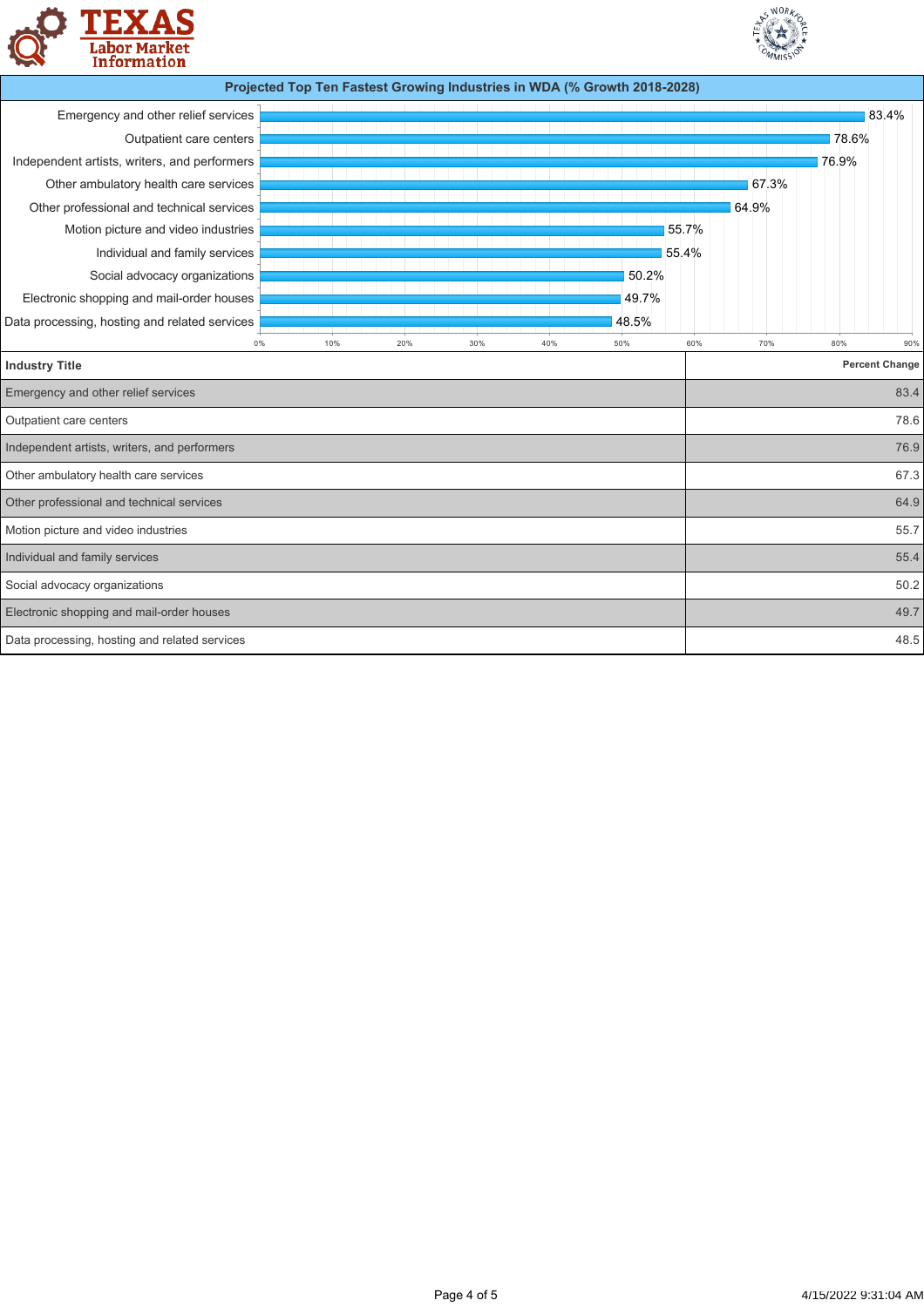



|                                               |     |     |     |     | Projected Top Ten Fastest Growing Industries in WDA (% Growth 2018-2028) |       |       |       |                       |
|-----------------------------------------------|-----|-----|-----|-----|--------------------------------------------------------------------------|-------|-------|-------|-----------------------|
| Emergency and other relief services           |     |     |     |     |                                                                          |       |       |       | 83.4%                 |
| Outpatient care centers                       |     |     |     |     |                                                                          |       |       | 78.6% |                       |
| Independent artists, writers, and performers  |     |     |     |     |                                                                          |       |       | 76.9% |                       |
| Other ambulatory health care services         |     |     |     |     |                                                                          |       | 67.3% |       |                       |
| Other professional and technical services     |     |     |     |     |                                                                          |       | 64.9% |       |                       |
| Motion picture and video industries           |     |     |     |     |                                                                          | 55.7% |       |       |                       |
| Individual and family services                |     |     |     |     |                                                                          | 55.4% |       |       |                       |
| Social advocacy organizations                 |     |     |     |     | 50.2%                                                                    |       |       |       |                       |
| Electronic shopping and mail-order houses     |     |     |     |     | 49.7%                                                                    |       |       |       |                       |
| Data processing, hosting and related services |     |     |     |     | 48.5%                                                                    |       |       |       |                       |
| 0%                                            | 10% | 20% | 30% | 40% | 50%                                                                      | 60%   | 70%   | 80%   | 90%                   |
| <b>Industry Title</b>                         |     |     |     |     |                                                                          |       |       |       | <b>Percent Change</b> |
| Emergency and other relief services           |     |     |     |     |                                                                          |       |       |       | 83.4                  |
| Outpatient care centers                       |     |     |     |     |                                                                          |       |       |       | 78.6                  |
| Independent artists, writers, and performers  |     |     |     |     |                                                                          |       |       |       | 76.9                  |
| Other ambulatory health care services         |     |     |     |     |                                                                          |       |       |       | 67.3                  |
| Other professional and technical services     |     |     |     |     |                                                                          |       |       |       | 64.9                  |
| Motion picture and video industries           |     |     |     |     |                                                                          |       |       |       | 55.7                  |
| Individual and family services                |     |     |     |     |                                                                          |       |       |       | 55.4                  |
| Social advocacy organizations                 |     |     |     |     |                                                                          |       |       |       | 50.2                  |
| Electronic shopping and mail-order houses     |     |     |     |     |                                                                          |       |       |       | 49.7                  |
| Data processing, hosting and related services |     |     |     |     |                                                                          |       |       |       | 48.5                  |